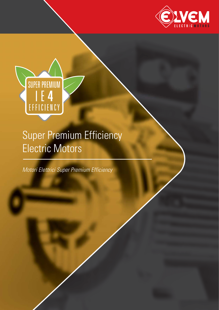



# Super Premium Efficiency Electric Motors

Motori Elettrici Super Premium Efficiency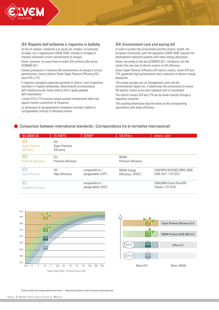

### IE4: Rispetto dell'ambiente e risparmio in bolletta

Al fine di tutelare l'ambiente e la salute dei cittadini, la Comunità Europea, con il regolamento CE640-2009, richiede lo sviluppo di impianti industriali a minor assorbimento di energia.

EIvem presenta la nuova linea di motori IE4 conformi alla norma IEC60034-30-1.

Elevate prestazioni e riduzione dell'assorbimento di energia è ciò che garantiscono i motori elettrici Elvem Super Premium Efficiency IE4, serie 6T4 e 7T4.

Il risparmio energetico generato permette di ridurre i costi di gestione aziendali e l'impatto ambientale, determinando la convenienza dell'installazione dei motori elettrici IE4 e rapido payback dell'investimento

I motori 6T4 e 7T4 possono essere azionati direttamente dalla rete oppure tramite convertitore di frequenza.

Le dimensioni di accoppiamento rimangono invariate rispetto ai corrispondenti unificati di efficienza minore.

#### IE4: Environment care and saving bill

In order to protect the environment and the citizens' health, the European Community, with the regulation CE640-2009, requires the development industrial systems with lower energy absorption.

Elvem, according to the law IEC60034-30-1, introduces into the market the new line of electric motors on IE4 efficiency. Elvem Super Premium Efficiency IE4 electric motors, series 6T4 and 7T4, guarantee high performances and a reduction of electric energy

absorption. The energy savings can cut management costs and the environmental impact too. It determines the convenience to mount IE4 electric motors and a short payback time of investment.

The electric motors 6T4 and 7T4 can be driven directly through a frequency converter.

The coupling dimensions stay the same as the corresponding equivalents with lower efficiency.

### Comparison between international standards / Corrispondenza tra le normative internazionali

| IEC 60034-30                                     | <b>EU MEPS</b>                        | <b>CEMEP</b>                           | <b>US EPAct</b>                          | others / altri                                   |
|--------------------------------------------------|---------------------------------------|----------------------------------------|------------------------------------------|--------------------------------------------------|
| IE4<br><b>Super Premium</b><br><b>Efficiency</b> | IE4<br>Super Premium<br>Efficiency    |                                        |                                          |                                                  |
| IE3<br>Premium efficiency                        | IE <sub>3</sub><br>Premium efficiency |                                        | <b>NEMA</b><br>Premium efficiency        |                                                  |
| IE2<br>High efficiency                           | IE <sub>2</sub><br>High efficiency    | comparable to /<br>paragonabile a EFF1 | <b>NEMA Energy</b><br>efficiency / EPACT | CAN/MEX/AUS/NZL/BRA 2009/<br>CINA 2011 / CH 2012 |
| IE1<br>Standard efficiency                       |                                       | comparable to /<br>paragonabile a EEF2 |                                          | CINA/BRA/Costa Rica/ISR/<br>Taiwan / CH 2010     |



Technical data may change without any notice. / I dati tecnici possono subire variazioni senza preavviso.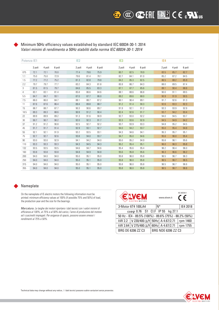### Minimum 50Hz efficiency values established by standard IEC 60034-30-1: 2014 Valori minimi di rendimento a 50Hz stabiliti dalla norma IEC 60034-30-1: 2014

| Potenza IE1 |        |        | IE <sub>2</sub> |        |        | IE <sub>3</sub> |        |        | IE4    |        |        |        |  |  |
|-------------|--------|--------|-----------------|--------|--------|-----------------|--------|--------|--------|--------|--------|--------|--|--|
|             | 2 poli | 4 poli | 6 poli          | 2 poli | 4 poli | 6 poli          | 2 poli | 4 poli | 6 poli | 2 poli | 4 poli | 6 poli |  |  |
| 075         | 72.1   | 72.1   | 70.0            | 77.4   | 79.6   | 75.9            | 80.7   | 82.5   | 78.9   | 83.5   | 85.7   | 82.7   |  |  |
| 1.1         | 75.0   | 75.0   | 72.9            | 79.6   | 81.4   | 78.1            | 82.7   | 84.1   | 81.0   | 85.2   | 87.2   | 84.5   |  |  |
| 1.5         | 77.2   | 77.2   | 75.2            | 81.3   | 82.8   | 79.8            | 84.2   | 85.3   | 82.5   | 86.5   | 88.2   | 85.9   |  |  |
| 2.2         | 79.7   | 79.7   | 77.7            | 83.2   | 84.3   | 81.8            | 85.9   | 86.7   | 84.3   | 88.0   | 89.5   | 87.4   |  |  |
| 3           | 81.5   | 81.5   | 79.7            | 84.6   | 85.5   | 83.3            | 87.1   | 87.7   | 85.6   | 89.1   | 90.4   | 88.6   |  |  |
| 4           | 83.1   | 83.1   | 81.4            | 85.8   | 86.6   | 84.6            | 88.1   | 88.6   | 86.8   | 90.0   | 91.1   | 89.5   |  |  |
| 5.5         | 84.7   | 84.7   | 93.1            | 87.0   | 87.7   | 86.0            | 89.2   | 89.6   | 88.0   | 90.9   | 91.9   | 90.5   |  |  |
| 7.5         | 86.0   | 86.0   | 84.7            | 88.1   | 88.7   | 87.2            | 90.1   | 90.4   | 89.1   | 91.7   | 92.6   | 91.3   |  |  |
| 11          | 87.6   | 87.6   | 86.4            | 89.4   | 89.8   | 88.7            | 91.2   | 91.4   | 90.3   | 92.6   | 93.3   | 92.3   |  |  |
| 15          | 88.7   | 88.7   | 87.7            | 90.3   | 90.6   | 89.7            | 91.9   | 92.1   | 91.2   | 93.3   | 93.9   | 92.9   |  |  |
| 18.5        | 89.3   | 89.3   | 88.6            | 90.9   | 91.2   | 90.4            | 82.4   | 92.6   | 91.7   | 93.7   | 94.2   | 93.4   |  |  |
| 22          | 89.9   | 89.9   | 89.2            | 91.3   | 91.6   | 90.9            | 92.7   | 93.0   | 92.2   | 94.0   | 94.5   | 93.7   |  |  |
| 30          | 90.7   | 90.7   | 90.2            | 92.0   | 92.3   | 91.7            | 93.3   | 93.6   | 92.9   | 94.5   | 94.9   | 94.2   |  |  |
| 37          | 91.2   | 91.2   | 90.8            | 92.5   | 92.7   | 92.2            | 93.7   | 93.9   | 93.3   | 94.8   | 95.2   | 94.5   |  |  |
| 45          | 91.7   | 91.7   | 91.4            | 92.9   | 93.1   | 92.7            | 94.0   | 94.2   | 93.7   | 95.0   | 95.4   | 94.8   |  |  |
| 55          | 92.1   | 92.1   | 91.9            | 93.2   | 93.5   | 93.1            | 94.3   | 94.6   | 94.1   | 95.3   | 95.7   | 95.1   |  |  |
| 75          | 92.7   | 92.7   | 92.6            | 93.8   | 94.0   | 93.7            | 94.7   | 95.0   | 94.6   | 95.6   | 96.0   | 95.4   |  |  |
| 90          | 93.0   | 93.0   | 92.9            | 94.1   | 94.2   | 94.0            | 95.0   | 95.2   | 94.9   | 95.8   | 96.1   | 95.6   |  |  |
| 110         | 93.3   | 93.3   | 93.3            | 94.3   | 94.5   | 94.3            | 95.2   | 95.4   | 95.1   | 96.0   | 96.3   | 95.8   |  |  |
| 132         | 93.5   | 93.5   | 93.5            | 94.6   | 94.7   | 94.6            | 95.4   | 95.6   | 95.4   | 96.2   | 96.4   | 96.0   |  |  |
| 160         | 93.8   | 93.8   | 93.8            | 94.8   | 94.9   | 94.8            | 95.6   | 95.8   | 95.6   | 96.3   | 96.6   | 96.2   |  |  |
| 200         | 94.0   | 94.0   | 94.0            | 95.0   | 95.1   | 95.0            | 95.8   | 96.0   | 95.8   | 96.5   | 96.7   | 96.3   |  |  |
| 250         | 94.0   | 94.0   | 94.0            | 95.0   | 95.1   | 95.0            | 95.8   | 96.0   | 95.8   | 96.5   | 96.7   | 96.5   |  |  |
| 315         | 94.0   | 94.0   | 94.0            | 95.0   | 95.1   | 95.0            | 95.8   | 96.0   | 95.8   | 96.5   | 96.7   | 96.6   |  |  |
| 355         | 94.0   | 94.0   | 94.0            | 95.0   | 95.1   | 95.0            | 95.8   | 96.0   | 95.8   | 96.5   | 96.7   | 96.6   |  |  |

### Nameplate

On the nameplate of IE electric motors the following information must be printed: minimum efficiency values at 100% (if possible 75% and 50%) of load, the production year and the size for the bearings.

Marcatura. Le targhe dei motori riportano i dati tecnici con i valori minimi di efficienza al 100%, al 75% e al 50% del carico, l'anno di produzione del motore ed i cuscinetti impiegati. Per esigenze di spazio, possono essere omessi i rendimenti al 75% e 50%.

|        | <b>EVEM</b><br><b>ELECTRIC MOTORS</b>                  | IEC 60034-1<br>$\epsilon$<br>www.elvem.it |                |          |  |  |  |  |  |  |
|--------|--------------------------------------------------------|-------------------------------------------|----------------|----------|--|--|--|--|--|--|
|        | 3~Motor 6T4 100LA4                                     |                                           | N°<br>IE4 2018 |          |  |  |  |  |  |  |
|        | cosφ 0.76 S1 Cl.F IP 55 kg 27.1                        |                                           |                |          |  |  |  |  |  |  |
|        | 50 Hz - IE4 - 89.5% (100%) - 89.6% (75%) - 88.2% (50%) |                                           |                |          |  |  |  |  |  |  |
| kW 2.2 | $ V 230/400 \triangle/Y 50Hz A 4.67/2.71$              |                                           |                | rpm 1460 |  |  |  |  |  |  |
|        | kW 2.64 V 275/480 $\triangle$ /Y 60Hz A 4.67/2.71      |                                           |                | rpm 1755 |  |  |  |  |  |  |
|        | BRG DE 6206 ZZ C3                                      | BRG NDE 6206 ZZ C3                        |                |          |  |  |  |  |  |  |

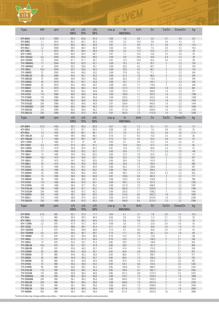

| <b>Type</b>            | kW             | rpm          | $n\%$<br>100%    | $n\%$<br>75% | $\eta\%$<br>50%    | $cos \varphi$ | $\ln$<br>400V50Hz | ls/ln      | C <sub>n</sub> | Cs/Cn                        | Cmax/Cn    | kg         |
|------------------------|----------------|--------------|------------------|--------------|--------------------|---------------|-------------------|------------|----------------|------------------------------|------------|------------|
| 6T4 80A2               | 0,75           | 2900         | 83.5             | 83.6         | 81.5               | 0.80          | 1,6               | 8.8        | 2,6            | 3.7                          | 3.9        | 9,5        |
| 6T4 80B2               | 1,1            | 2910         | 85.2             | 85.2         | 83.3               | 0.82          | 2,3               | 10.0       | 3,8            | 4.0                          | 4.2        | 12         |
| 6T4 90S2               | 1,5            | 2910         | 86.5             | 86.5         | 84.6               | 0.81          | 3,1               | 9.6        | 5,1            | 3.6                          | 2.8        | 14,5       |
| 6T4 90L2               | 2,2            | 2900         | 88.0             | 88.2         | 86.9               | 0.83          | 4,4               | 10.5       | 7,5            | 4.0                          | 4.2        | 18,5       |
| 6T4 100L2              | $\mathfrak{Z}$ | 2910         | 89.1             | 89.4         | 88.4               | 0.90          | 5,4               | 11.0       | 10,3           | 3.7                          | 2.9        | 28         |
| 6T4 112M2              | 4              | 2920         | 90.0             | 90.4         | 89.7               | 0.91          | 7,1               | 10.5       | 13,6           | 3.5                          | 2.6        | 35         |
| 6T4 132SA2             | 5,5            | 2940         | 90.9             | 90.9         | 89.5               | 0.90          | 9,9               | 10.5       | 18,6           | 3.4                          | 2.3        | 49         |
| 6T4 132SB2             | 7,5            | 2940         | 91.7             | 91.7         | 90.7               | 0.91          | 13,3              | 10.0       | 25,4           | 3.5                          | $2.3\,$    | 59         |
| 7T4 160MA2             | 11             | 2940         | 93.0             | 92,9         | 92,1               | 0,89          | 19,2              | 8,1        | 35,7           | $\overline{2}$               | 2,3        | 134        |
| 7T4 160MB2             | 15             | 2940         | 93,3             | 93,6         | 93,1               | 0,89          | 26,0              | 8,2        | 48,7           | 2                            | $2,3$      | 150        |
| 7T4 160L2              | 18,5           | 2940         | 93,7             | 93,9         | 93,3               | 0,89          | 32,0              | 8,2        | 60,1           | $\mathbf{2}$                 | 2,3        | 170        |
| 7T4 180M2              | 22             | 2955         | 94,4             | 95,0         | 93,2               | 0,89          | 37,8              | 8,2        | 71,1           | $\overline{2}$               | 2,3        | 244        |
| 7T4 200LA2             | $30\,$         | 2965         | 94,5             | 95,1         | 93,3               | 0,89          | 51,5              | 7,6        | 96,6           | $\overline{2}$               | 2,3        | 329        |
| 7T4 200LB2             | 37             | 2965         | 94,8             | 95,4         | 93,6               | 0,89          | 63,3              | 7,6        | 119,2          | $\overline{2}$               | 2,3        | 345        |
| 7T4 225M2              | $45\,$         | 2970         | 95,1             | 95,7         | 93,9               | 0,89          | 76,7              | 7,7        | 144,7          | $\mathbf{2}$                 | 2,3        | 436        |
| 7T4 250M2              | 55             | 2975         | 95,4             | 96,0         | 94,2               | 0,89          | 93,5              | 7,7        | 176,6          | $\overline{c}$               | 2,3        | 546        |
| 7T4 280S2              | 75             | 2975         | 95,6             | 96,2         | 94,4               | 0,89          | 127,2             | 7,1        | 240,8          | 1,8                          | 2,3        | 681        |
| 7T4 280M2              | $90\,$         | 2975         | 95,8             | 96,4         | 94,6               | 0,89          | 152,4             | 7,1        | 288,9          | 1,8                          | 2,3        | 731        |
| 7T4 315S2              | 110            | 2980         | 96,0             | 96,6         | 94,8               | 0,90          | 183,8             | 7,1        | 352,5          | 1,8                          | 2,3        | 1296       |
| 7T4 315M2              | 132            | 2980         | 96,0             | 96,6         | 94,8               | 0,90          | 220,5             | 7,1        | 423,0          | 1,8                          | $2,3$      | 1369       |
| 7T4 315LA2             | 160            | 2980         | 96,2             | 96,8         | 94,9               | 0,91          | 263,8             | 7,2        | 512,8          | 1,8                          | 2,3        | 1463       |
| 7T4 315LB2             | 200            | 2980         | 96,3             | 96,9         | 95,0               | 0,91          | 329,4             | 7,2        | 640,9          | 1,8                          | 2,2        | 1544       |
| 7T4 355MB2             | 250            | 2980         | 96,4             | 96,8         | 95,2               | 0,91          | 411,4             | 7,5        | 801,2          | 1,6                          | 2,2        | 1830       |
| 7T4 355LB2             | 315            | 2980         | 96,5             | 96,9         | 95,2               | 0,91          | 517,8             | 7,5        | 1009,5         | 1,6                          | 2,2        | 2160       |
| 7T4 355LX2             | 355            | 2980         | 96,6             | 97,0         | 95,4               | 0,91          | 582,9             | 7,5        | 1137,6         | 1,4                          | 1,8        | 2280       |
|                        |                |              |                  |              |                    |               |                   |            |                |                              |            |            |
| Type                   | kW             | rpm          | $\eta\%$<br>100% | $n\%$<br>75% | $\eta\%$<br>$50\%$ | $cos \varphi$ | $\ln$<br>400V50Hz | Is/In      | Cn             | Cs/Cn                        | Cmax/Cn    | kg         |
|                        |                |              |                  |              |                    |               |                   |            |                |                              |            |            |
| 6T4 80B4               | 0,75           | 1450         | 85.7             | 85.3         | 82.8               | 0.67          | 2,0               | 7.3        | 5,1            | 3.7                          | $4.0\,$    | 13         |
| 6T4 90S4               | 1,1            | 1435         | 87.2             | 87.1         | 84.4               | 0.69          | 2,6               | 8.2        | 7,6            | 4.8                          | 3.8        | 18         |
| 6T4 90L4               | 1,5            | 1455         | 88.2             | 88.1         | 86.1               | 0.71          | 3,5               | 9.2        | 10,3           | 4.8                          | 3.8        | 21,5       |
| 6T4 100LA4             | 2,2            | 1460         | 89.5             | 89.6         | 88.2               | 0.76          | 4,7               | 9.5        | 15,0           | 3.5                          | $3.0\,$    | 26         |
| 6T4 100LB4             | $\mathbf{3}$   | 1460         | 90.4             | 89.7         | 88.1               | 0.75          | 6,4               | 9.5        | 20,4           | 3.8                          | 3.4        | 33         |
| 6T4 112M4              | $\overline{4}$ | 1460         | 91.1             | 91           | 90                 | 0.80          | 8,1               | 9.8        | 27,3           | 4.0                          | $3.0\,$    | 41         |
| 6T4 132S4              | 5,5            | 1470         | 91.9             | 92.2         | 91.5               | 0.80          | 10,9              | 10.0       | 37,2           | 3.4                          | 2.1        | 56         |
| 6T4 132M4              | 7,5            | 1470         | 92.6             | 92.8         | 92.2               | 0.81          | 13,9              | 10.2       | 50,8           | 4.4                          | $2.2\,$    | 74         |
| 7T4 160M4              | 11             | 1465         | 93,6             | 93,2         | 92,2               | 0,83          | 20,4              | 7,7        | 71,7           | 2,2                          | 2,3        | 148        |
| 7T4 160L4              | 15             | 1465         | 94.0             | 93,5         | 92,5               | 0,84          | 27,4              | 7,8        | 97,8           | 2,2                          | 2,3        | 172        |
| 7T4 180M4              | 18,5           | 1470         | 94,3             | 94,9         | 93,1               | 0,85          | 33,3              | 7,8        | 120,2          | $\mathbf{2}$                 | 2,3        | 241        |
| 7T4 180L4              | 22             | 1475         | 94,7             | 95,3         | 93,5               | 0,85          | 39,4              | 7,8        | 142,4          | $\mathbf{2}$                 | 2,3        | 257        |
| 7T4 200L4<br>7T4 225S4 | $30\,$         | 1475         | 95,0             | 95,6         | 93,8               | 0,85          | 53,6              | 7,3        | 194,2          | $\mathbf{2}$                 | 2,3        | 366        |
| 7T4 225M4              | 37<br>45       | 1480<br>1480 | 95,3<br>95,6     | 95,3<br>95,5 | 94,8<br>95,0       | 0,86<br>0,86  | 65,2<br>79,0      | 7,4<br>7,4 | 238,8<br>290,4 | $\mathbf{2}$<br>$\mathbf{2}$ | 2,3<br>2,3 | 407<br>435 |
| 7T4 250M4              | 55             | 1480         | 95,8             | 96,4         | 94,6               | 0,86          | 96,4              | 7,4        | 354,9          | 2,2                          |            | 553        |
| 7T4 280S4              | 75             | 1485         | 96,0             | 96,6         | 94,8               | 0,87          | 129,6             | 6,9        | 482,3          | $\overline{2}$               | 2,3<br>2,3 | 717        |
| 7T4 280M4              | $90\,$         | 1485         | 96,2             | 96,8         | 94,9               | 0,88          | 153,5             | 6,9        | 578,8          | 2                            | 2,3        | 788        |
| 7T4 315S4              | 110            | 1485         | 96,4             | 97,0         | 95,1               | 0,89          | 185,1             | 7,0        | 707,4          | $\mathbf{2}$                 | 2,2        | 1320       |
| 7T4 315M4              | 132            | 1485         | 96,5             | 97,1         | 95,2               | 0,89          | 221,8             | 7,0        | 848,9          | $\mathbf{2}$                 | 2,2        | 1387       |
| 7T4 315LA4             | 160            | 1485         | 96,5             | 97,1         | 95,2               | 0,90          | 265,9             | 7,1        | 1029,0         | $\overline{2}$               | 2,2        | 1458       |
| 7T4 315LB4             | 200            | 1485         | 96,6             | 97,2         | 95,3               | 0,90          | 332,0             | 7,1        | 1286,2         | $\overline{2}$               | 2,2        | 1545       |
| 7T4 355M4              | 250            | 1490         | 96,7             | 96,9         | 95,5               | 0,90          | 414,6             | 8,5        | 1602,3         | 1,8                          | 2,2        | 1840       |
| 7T4 355L4              | 315            | 1490         | 96,8             | 97,0         | 95,4               | 0,90          | 521,9             | 8,5        | 2019,0         | 1,8                          | 2,2        | 2280       |
| 7T4 355LB4             | 355            | 1490         | 96,8             | 97,0         | 95,3               | 0,90          | 594,8             | 8,5        | 2275,3         | 1,3                          | 2,2        | 2396       |
| <b>Type</b>            | kW             | rpm          | $\eta\%$         | $\eta\%$     | $\eta\%$           | $cos \varphi$ | $\ln$             | ls/ln      | Cn             | Cs/Cn                        | Cmax/Cn    | kg         |
|                        |                |              | 100%             | 75%          | 50%                |               | 400V50Hz          |            |                |                              |            |            |
| 6T4 90S6               | 0,75           | 955          | 82,7             | 81.6         | 77.7               | 0.64          | 2,1               | 5.7        | 7,8            | 2.8                          | 2.4        | 15,5       |
| 6T4 90L6               | 1,1            | 960          | 84,5             | 83.5         | 80.5               | 0.65          | 2,9               | 5.9        | 11,4           | 3.1                          | 2.5        | 20         |
| 6T4 100L6              | 1,5            | 965          | 85,9             | 86,2         | 84,5               | 0.72          | 3,5               | 6.5        | 15,5           | 2.7                          | 1.9        | 28         |
| 6T4 112M6              | 2,2            | 970          | 87,4             | 87.2         | 85.4               | 0.69          | 5,0               | 7.5        | 22,6           | 3.0                          | 2.6        | 35         |
| 6T4 132S6              | $3 -$          | 975          | 88,6             | 88,7         | 87,4               | 0.71          | 6,9               | 7.1        | 30,6           | 2.5                          | 1.9        | 47         |
| 6T4 132MA6             | $\overline{4}$ | 975          | 89,5             | 89,8         | 88,8               | 0.74          | 8,7               | 8.0        | 40,8           | 2.8                          | $1.8\,$    | 55         |
| 6T4 132MB6             | $5,5$          | 975          | 90,5             | 90.7         | 89.7               | 0.75          | 11,7              | 8.2        | 56,1           | 3.3                          | $1.8\,$    | 68         |
| 7T4 160M6              | 7,5            | 970          | 90,2             | 90,0         | 88,0               | 0,78          | 15,4              | 7,0        | 73,8           | $\mathbf{2}$                 | 2,1        | 146        |
| 7T4 160L6              | 11             | 970          | 91,5             | 91,3         | 89,4               | 0,79          | 22,0              | 7,2        | 108,3          | $\mathbf{2}$                 | 2,1        | 168        |
| 7T4 180L6              | 15             | 975          | 92,5             | 93,1         | 91,3               | 0,80          | 29,3              | 7,3        | 146,9          | $\mathbf{2}$                 | 2,1        | 204        |
| 7T4 200LA6             | 18,5           | 975          | 93,1             | 93,7         | 91,9               | 0,80          | 35,9              | 7,3        | 181,2          | $\mathbf{2}$                 | 2,1        | 308        |
| 7T4 200LB6             | 22             | 975          | 93,9             | 94,5         | 92,7               | 0,81          | 41,8              | 7,4        | 215,5          | $\mathbf{2}$                 | 2,1        | 326        |
| 7T4 225M6              | 30             | 985          | 94,3             | 94,9         | 93,1               | 0,82          | 56,0              | 6,9        | 290,9          | $\overline{2}$               | 2,1        | 397        |
| 7T4 250M6              | 37             | 985          | 94,6             | 95,2         | 93,4               | 0,83          | 68,0              | 7,1        | 358,7          | $\overline{2}$               | 2,1        | 477        |
| 7T4 280S6              | 45             | 985          | 94,9             | 95,5         | 93,7               | 0,85          | 80,5              | 7,3        | 436,3          | $\mathbf{2}$                 | 2,0        | 702        |
| 7T4 280M6              | 55             | 985          | 95,2             | 95,8         | 94,0               | 0,86          | 97,0              | 7,3        | 533,2          | $\mathbf{2}$                 | 2,0        | 763        |
| 7T4 315S6              | 75             | 990          | 95,4             | 96,0         | 94,2               | 0,84          | 135,1             | 6,6        | 723,5          | $\overline{2}$               | 2,0        | 1265       |
| 7T4 315M6              | $90\,$         | 990          | 95,6             | 96,2         | 94,4               | 0,85          | 159,9             | 6,7        | 868,2          | $\overline{2}$               | 2,0        | 1334       |
| 7T4 315LA6             | 110            | 990          | 95,6             | 96,2         | 94,4               | 0,85          | 195,4             | 6,7        | 1061,1         | $\mathbf{2}$                 | 2,0        | 1465       |
| 7T4 315LB6             | 132            | 990          | 95,8             | 96,4         | 94,6               | 0,86          | 231,3             | 6,8        | 1273,3         | $\mathbf{2}$                 | 2,0        | 1525       |
| 7T4 355MA6             | 160            | 990          | 96,0             | 96,4         | 95,6               | 0,86          | 279,7             | 7,5        | 1543,4         | $\mathbf{2}$                 | 1,6        | 1680       |
| 7T4 355MB6             | 200            | 990          | 96,1             | 96,5         | 95,6               | 0,86          | 349,3             | 7,5        | 1929,3         | $\mathbf{2}$                 | 1,6        | 1810       |
| 7T4 355LB6             | 250            | 990          | 96,1             | 96,5         | 95,6               | 0,86          | 436,6             | 7,5        | 2441,6         | $\mathbf{2}$                 | 1,6        | 2250       |
| 7T4 355LX6             | 315            | 990          | 96,1             | 96,5         | 95,6               | 0,86          | 563,2             | 7,5        | 3038,6         | $\overline{2}$               | 1,6        | 2490       |
| 7T4 355LX6             | 355            | 990          | 96,3             | 96,5         | 95,6               | 0,86          | 617,4             | 7,5        | 3424,5         | $\mathbf{2}$                 | 1,6        | 2560       |
| 7T4 400M6              | 355            | 990          | 96,3             | 96,5         | 95,6               | 0,86          | 617,4             | 7,5        | 3424,5         | 1,8                          | 1,4        | 2880       |

via delle linguality<br>Cartigliano - ITALY<br>www.elvem.it

N° 180765

 $\overline{20}$ 

kg<sub>18</sub>

ELVEM

Technical data may change without any notice. / I dati tecnici possono subire variazioni senza preavviso.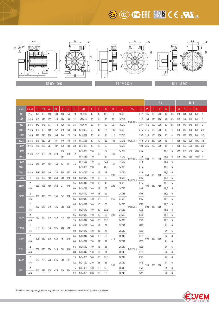## $\overline{\mathbb{Z}}$   $\overline{\mathbb{Z}}$   $\overline{\mathbb{Z}}$   $\overline{\mathbb{Z}}$   $\overline{\mathbb{Z}}$   $\overline{\mathbb{Z}}$   $\overline{\mathbb{Z}}$   $\overline{\mathbb{Z}}$   $\overline{\mathbb{Z}}$   $\overline{\mathbb{Z}}$   $\overline{\mathbb{Z}}$   $\overline{\mathbb{Z}}$   $\overline{\mathbb{Z}}$   $\overline{\mathbb{Z}}$   $\overline{\mathbb{Z}}$   $\overline{\mathbb{Z}}$   $\overline{\mathbb{Z}}$   $\overline{\mathbb{Z}}$   $\overline{\$



|             |             |                    |                         |                 |           |         |         |     |        |     |    |             |       |       |               |                                 |     | <b>B5</b>   |         |      |                |     | <b>B14</b> |     |                     |                |  |  |
|-------------|-------------|--------------------|-------------------------|-----------------|-----------|---------|---------|-----|--------|-----|----|-------------|-------|-------|---------------|---------------------------------|-----|-------------|---------|------|----------------|-----|------------|-----|---------------------|----------------|--|--|
| <b>SIZE</b> | poles       | A                  | AB                      | AC              | <b>AD</b> | B       | C       | D   | DH     | E   | F  | G           | н     | K     | <b>KK</b>     | L                               | M   | N           | P       | S    | Τ              | M   | N          | P   | <sub>S</sub>        | T              |  |  |
| 80          | $2 - 4$     | 125                | 160                     | 158             | 130       | 100     | 50      | 19  | M6X16  | 40  | 6  | 15,5        | 80    | 10X13 |               | 277                             | 165 | 130         | 200     | 12   | 3,5            | 100 | 80         | 120 | M6                  | 3              |  |  |
| <b>90S</b>  | $2 - 4 - 6$ | 140                | 175                     | 177             | 140       | 100     | 56      | 24  | M8X19  | 50  | 8  | 20          | 90    | 10X13 | M20X1,5       | 312                             | 165 | 130         | 200     | 12   | 3,5            | 115 | 95         | 140 | M8                  | 3              |  |  |
| 90L         | $2 - 4 - 6$ | 140                | 175                     | 177             | 140       | 125     | 56      | 24  | M8X19  | 50  | 8  | 20          | 90    | 10X13 |               | 337                             | 165 | 130         | 200     | 12   | 3,5            | 115 | 95         | 140 | M <sub>8</sub>      | 3              |  |  |
| 100L        | $2 - 4 - 6$ | 160                | 196                     | 199             | 157       | 140     | 63      | 28  | M10X22 | 60  | 8  | 24          | 100   | 12X16 |               | 375                             | 215 | 180         | 250     | 15   | 4              | 130 | 110        | 160 | M8                  | 3,5            |  |  |
| 112M        | $2 - 4 - 6$ | 190                | 220                     | 220             | 168       | 140     | 70      | 28  | M10X22 | 60  | 8  | 24          | 112   | 12X16 |               | 397                             | 215 | 180         | 250     | 15   | 4              | 130 | 110        | 160 | M8                  | 3,5            |  |  |
| <b>132S</b> | $2 - 4 - 6$ | 216                | 252                     | 261             | 187       | 140     | 89      | 38  | M12X28 | 80  | 10 | 33          | 132   |       | 12X16 M25X1,5 | 460                             | 265 | 230         | 300     | 15   | 4              | 165 | 130        | 200 | M <sub>10</sub> 3,5 |                |  |  |
| 132M        | $2 - 4 - 6$ |                    | 216 252                 | 261             | 187       | 178     | 89      | 38  | M12X28 | 80  | 10 | 33          |       | 12X16 |               | 498                             | 265 | 230         | 300     | 15   | $\overline{4}$ | 165 | 130        | 200 | M <sub>10</sub> 3,5 |                |  |  |
| 160M        | 2-4-6       | 254 320            |                         | 340             | 278       | 210     | 108     | -42 | M16X36 | 110 | 12 | 37          | 160   | 14X19 |               | 695                             |     |             |         | 18,5 | 5              | 215 | 180        | 250 | M12                 | $\overline{4}$ |  |  |
| 160L        |             |                    |                         |                 |           | 254     |         |     | M16X36 | 110 |    | 37          |       | 14X19 | M32X1,5       | 720<br><b>Contract Contract</b> |     | 300 250     | 350     | 18,5 | 5              |     |            |     | 215 180 250 M12     | - 4            |  |  |
| 180M        | 2-4-6       | 279 350            |                         | 385             | 295       |         | 241 121 | 48  | M16X36 | 110 | 14 | 42,5        | 180   | 14X19 |               | 770                             |     |             |         | 18,5 | 5              |     |            |     |                     |                |  |  |
| 180L        |             |                    |                         |                 |           |         |         |     | M16X36 | 110 |    | 42.5        | 14X19 |       | 815           |                                 |     |             | 18,5    | 5    |                |     |            |     |                     |                |  |  |
| 200L        | $2 - 4 - 6$ | 318                | 395                     | 440             | 330       |         | 305 133 | 55  | M20X42 | 110 | 16 | 49          | 200   | 18X25 |               | 825                             |     | 350 300 400 |         | 18,5 | 5              |     |            |     |                     |                |  |  |
| <b>225S</b> | 4           | 356                | 436                     | 490             | 350       | 286 149 |         | 60  | M20X42 | 140 | 18 | 53          |       | 18X25 | M40X1,5       | 885                             |     |             |         | 18,5 | 5              |     |            |     |                     |                |  |  |
| 225M        | 2           | 356 436<br>$4 - 6$ |                         | 490             | 350       |         | 311 149 | 55  | M20X42 | 110 | 16 | 49<br>225   | 18X25 |       | 875           | 400                             | 350 | 450         | 18,5    | 5    |                |     |            |     |                     |                |  |  |
|             |             |                    |                         |                 |           |         |         | 60  | M20X42 | 140 | 18 | 53          |       | 18X25 |               | 905                             |     |             |         | 18,5 | 5              |     |            |     |                     |                |  |  |
| 250M        | 2           |                    | 406 495 575             |                 | 395       | 349 168 |         | 60  | M20X42 | 140 | 18 | 53          | 250   | 24X33 |               | 990                             |     |             |         | 18,5 | 5              |     |            |     |                     |                |  |  |
|             | 4-6         |                    |                         |                 |           |         |         | 65  | M20X42 | 140 | 18 | 58          |       | 24X33 |               | 995                             |     |             |         | 18,5 | 5              |     |            |     |                     |                |  |  |
| <b>280S</b> | 2           |                    |                         | 457 550 610 425 |           | 368 190 |         | 65  | M20X42 | 140 | 18 | 58          |       | 24X33 | M50X1,5       | 1020                            | 500 | 450         | 550     | 18,5 | 5              |     |            |     |                     |                |  |  |
|             | $4 - 6$     |                    |                         |                 |           |         |         | 75  | M20X42 | 140 | 20 | 67,5        |       | 24X33 |               | 1025                            |     |             | 18,5    | 5    |                |     |            |     |                     |                |  |  |
| 280M        | 2           |                    | 457 550 610             |                 | 425       | 419 190 |         | 65  | M20X42 | 140 | 18 | 58          | 280   | 24X33 |               | 1065                            |     |             |         | 18,5 | 5              |     |            |     |                     |                |  |  |
|             | 4-6         |                    |                         |                 |           |         |         | 75  | M20X42 | 140 | 20 | 67,5        |       | 24X33 |               | 1070                            |     |             |         | 18,5 | 5              |     |            |     |                     |                |  |  |
| 315S        | 2           |                    | 508 630                 | 670             | 525       | 406 216 |         | 65  | M20X42 | 140 | 18 | 58          |       | 28X49 |               | 1220                            |     |             |         | 24   | 6              |     |            |     |                     |                |  |  |
|             | $4 - 6$     |                    |                         |                 |           |         |         | 80  | M20X42 | 170 | 22 | 71          |       | 28X49 |               | 1250                            |     |             |         | 24   | 6              |     |            |     |                     |                |  |  |
| 315M        | 2           |                    | 508 630 670             |                 | 525       | 457 216 |         | 65  | M20X42 | 140 | 18 | 58          | 315   | 28X49 |               | 1335                            | 600 | 550         |         | 24   | 6              |     |            |     |                     |                |  |  |
|             | 4-6         |                    |                         |                 |           |         |         | 80  | M20X42 | 170 | 22 | 71          |       | 28X49 |               | 1365                            |     |             | 660     | 24   | 6              |     |            |     |                     |                |  |  |
| 315L        | 2           |                    |                         | 508 630 670     |           | 508 216 |         | 65  | M20X42 | 140 | 18 | 58          |       | 28X49 | M63X1,5       | 1335                            |     |             |         | 24   | 6              |     |            |     |                     |                |  |  |
|             | 4-6         |                    |                         |                 | 525       |         |         | 80  | M20X42 | 170 | 22 | 71          |       | 28X49 |               | 1365                            |     |             |         | 24   | 6              |     |            |     |                     |                |  |  |
| 355M        | 2           |                    |                         | 610 735 735     | 675       | 560 254 |         | 75  | M24X50 | 140 | 20 | 67,5        |       | 28X49 |               | 1575                            |     |             |         | 24   | 6              |     |            |     |                     |                |  |  |
|             | 4-6         |                    |                         |                 |           |         |         | 100 | M24X50 | 210 | 28 | 86          |       | 28X49 |               | 1715                            | 740 |             |         | 24   | 6              |     |            |     |                     |                |  |  |
| 355L        | 2           |                    |                         |                 |           |         |         | 75  | M24X50 | 140 | 20 | 355<br>67,5 |       | 28X49 |               | 1575                            |     |             | 680 800 | 24   | 6              |     |            |     |                     |                |  |  |
|             | $4 - 6$     |                    | 610 735 735 675 630 254 |                 |           |         |         | 100 | M24X50 | 210 | 28 | 86          |       | 28X49 | 1715          |                                 |     |             | 24      | 6    |                |     |            |     |                     |                |  |  |

Technical data may change without any notice. / I dati tecnici possono subire variazioni senza preavviso.